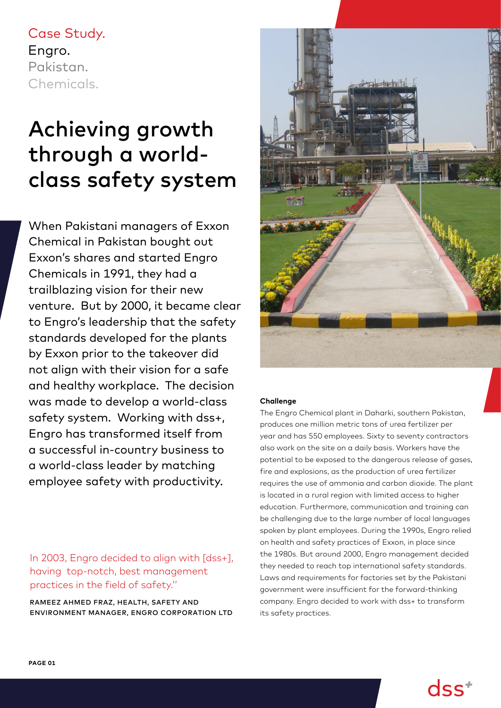# Case Study. Engro. Pakistan. Chemicals.

# Achieving growth through a worldclass safety system

When Pakistani managers of Exxon Chemical in Pakistan bought out Exxon's shares and started Engro Chemicals in 1991, they had a trailblazing vision for their new venture. But by 2000, it became clear to Engro's leadership that the safety standards developed for the plants by Exxon prior to the takeover did not align with their vision for a safe and healthy workplace. The decision was made to develop a world-class safety system. Working with dss+, Engro has transformed itself from a successful in-country business to a world-class leader by matching employee safety with productivity.

In 2003, Engro decided to align with [dss+], having top-notch, best management practices in the field of safety.''

RAMEEZ AHMED FRAZ, HEALTH, SAFETY AND ENVIRONMENT MANAGER, ENGRO CORPORATION LTD



#### **Challenge**

The Engro Chemical plant in Daharki, southern Pakistan, produces one million metric tons of urea fertilizer per year and has 550 employees. Sixty to seventy contractors also work on the site on a daily basis. Workers have the potential to be exposed to the dangerous release of gases, fire and explosions, as the production of urea fertilizer requires the use of ammonia and carbon dioxide. The plant is located in a rural region with limited access to higher education. Furthermore, communication and training can be challenging due to the large number of local languages spoken by plant employees. During the 1990s, Engro relied on health and safety practices of Exxon, in place since the 1980s. But around 2000, Engro management decided they needed to reach top international safety standards. Laws and requirements for factories set by the Pakistani government were insufficient for the forward-thinking company. Engro decided to work with dss+ to transform its safety practices.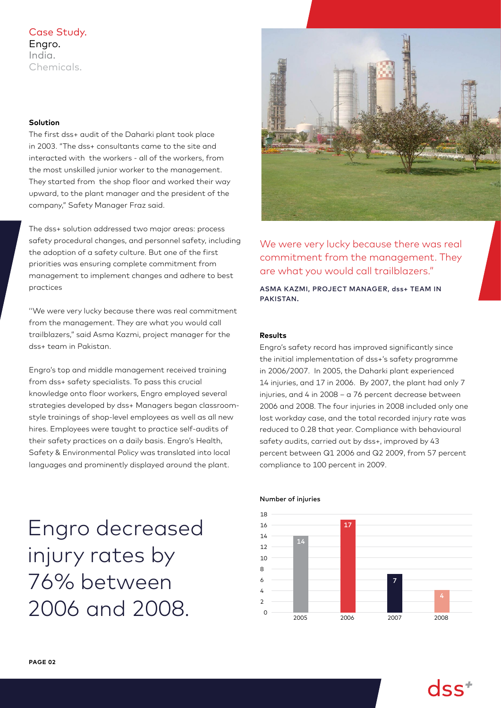## Case Study. Engro. India. Chemicals.

#### **Solution**

The first dss+ audit of the Daharki plant took place in 2003. "The dss+ consultants came to the site and interacted with the workers - all of the workers, from the most unskilled junior worker to the management. They started from the shop floor and worked their way upward, to the plant manager and the president of the company," Safety Manager Fraz said.

The dss+ solution addressed two major areas: process safety procedural changes, and personnel safety, including the adoption of a safety culture. But one of the first priorities was ensuring complete commitment from management to implement changes and adhere to best practices

''We were very lucky because there was real commitment from the management. They are what you would call trailblazers," said Asma Kazmi, project manager for the dss+ team in Pakistan.

Engro's top and middle management received training from dss+ safety specialists. To pass this crucial knowledge onto floor workers, Engro employed several strategies developed by dss+ Managers began classroomstyle trainings of shop-level employees as well as all new hires. Employees were taught to practice self-audits of their safety practices on a daily basis. Engro's Health, Safety & Environmental Policy was translated into local languages and prominently displayed around the plant.

Engro decreased injury rates by 76% between 2006 and 2008.



We were very lucky because there was real commitment from the management. They are what you would call trailblazers."

ASMA KAZMI, PROJECT MANAGER, dss+ TEAM IN PAKISTAN.

#### **Results**

Engro's safety record has improved significantly since the initial implementation of dss+'s safety programme in 2006/2007. In 2005, the Daharki plant experienced 14 injuries, and 17 in 2006. By 2007, the plant had only 7 injuries, and 4 in 2008 – a 76 percent decrease between 2006 and 2008. The four injuries in 2008 included only one lost workday case, and the total recorded injury rate was reduced to 0.28 that year. Compliance with behavioural safety audits, carried out by dss+, improved by 43 percent between Q1 2006 and Q2 2009, from 57 percent compliance to 100 percent in 2009.



#### Number of injuries